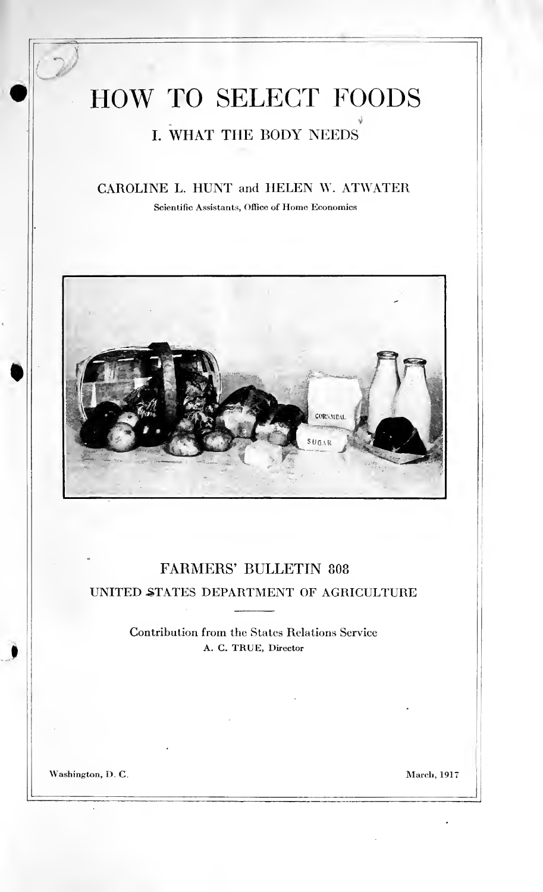# HOW TO SELECT FOODS

### I. WHAT THE BODY NEEDS

#### CAROLINE L. HUNT and HELEN W. ATWATER

Scientific Assistants, Office of Home Economics



### FARMERS' BULLETIN <sup>808</sup>

UNITED STATES DEPARTMENT OF AGRICULTURE

Contribution from the States Relations Service A. C. TRUE, Director

Washington, D. G. March, 1917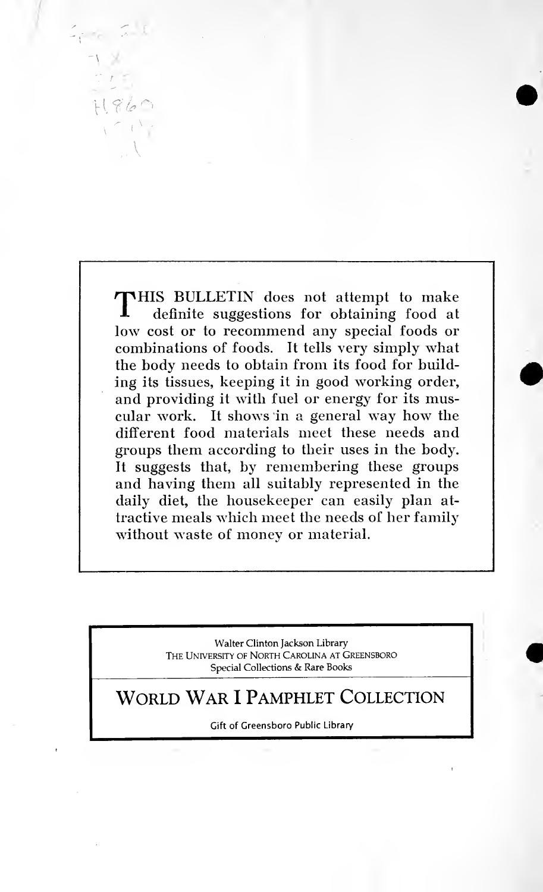THIS BULLETIN does not attempt to make definite suggestions for obtaining food at low cost or to recommend any special foods or combinations of foods. It tells very simply what the body needs to obtain from its food for build ing its tissues, keeping it in good working order, and providing it with fuel or energy for its muscular work. It shows in <sup>a</sup> general way how the different food materials meet these needs and groups them according to their uses in the body. It suggests that, by remembering these groups and having them all suitably represented in the daily diet, the housekeeper can easily plan at tractive meals which meet the needs of her family without waste of money or material.

 $H960$ 

Walter Clinton Jackson Library The University of North Carolina at Greensboro Special Collections & Rare Books

World War <sup>I</sup> Pamphlet Collection

Gift of Greensboro Public Library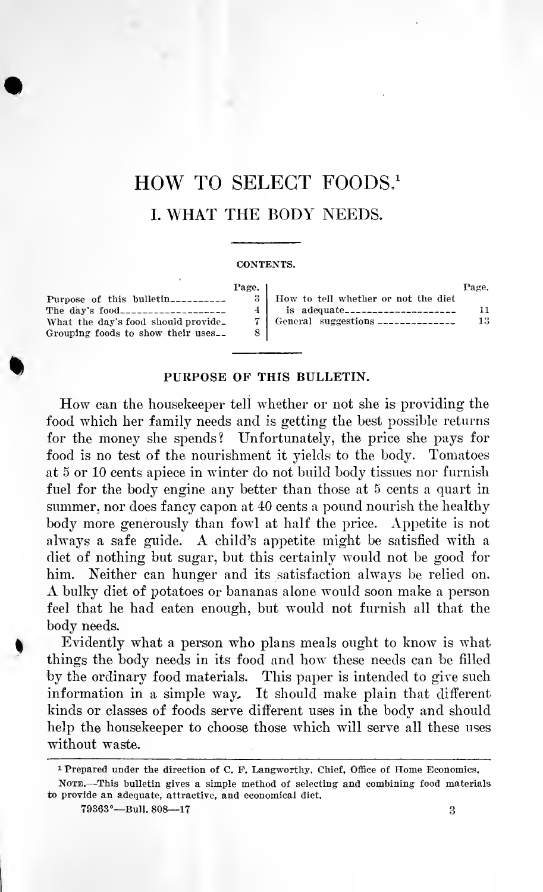## HOW TO SELECT FOODS.<sup>1</sup> I. WHAT THE BODY NEEDS.

#### CONTENTS.

|                                     | Page. |                                     | Page. |
|-------------------------------------|-------|-------------------------------------|-------|
| Purpose of this bulletin__________  |       | How to tell whether or not the diet |       |
|                                     |       | $\frac{4}{1}$ is adequate           |       |
| What the day's food should provide_ |       | General suggestions ______________  | 13    |
| Grouping foods to show their uses__ |       |                                     |       |

#### PURPOSE OF THIS BULLETIN.

How can the housekeeper tell whether or not she is providing the food which her family needs and is getting the best possible returns for the money she spends? Unfortunately, the price she pays for food is no test of the nourishment it yields to the body. Tomatoes at 5 or 10 cents apiece in winter do not build body tissues nor furnish fuel for the body engine any better than those at 5 cents a quart in summer, nor does fancy capon at 40 cents a pound nourish the healthy body more generously than fowl at half the price. Appetite is not always <sup>a</sup> safe guide. A child's appetite might be satisfied with <sup>a</sup> diet of nothing but sugar, but this certainly would not be good for him. Neither can hunger and its satisfaction always be relied on. <sup>A</sup> bulky diet of potatoes or bananas alone would soon make <sup>a</sup> person feel that he had eaten enough, but would not furnish all that the body needs.

Evidently what a person who plans meals ought to know is what things the body needs in its food and how these needs can be filled by the ordinary food materials. This paper is intended to give such information in a simple way. It should make plain that different kinds or classes of foods serve different uses in the body and should help the housekeeper to choose those which will serve all these uses without waste.

<sup>&</sup>lt;sup>1</sup> Prepared under the direction of C. F. Langworthy, Chief, Office of Home Economics.

Note.—This bulletin gives <sup>a</sup> simple method of selecting and combining food materials to provide an adequate, attractive, and economical diet,

<sup>79363°—</sup>Bull. 808—17 3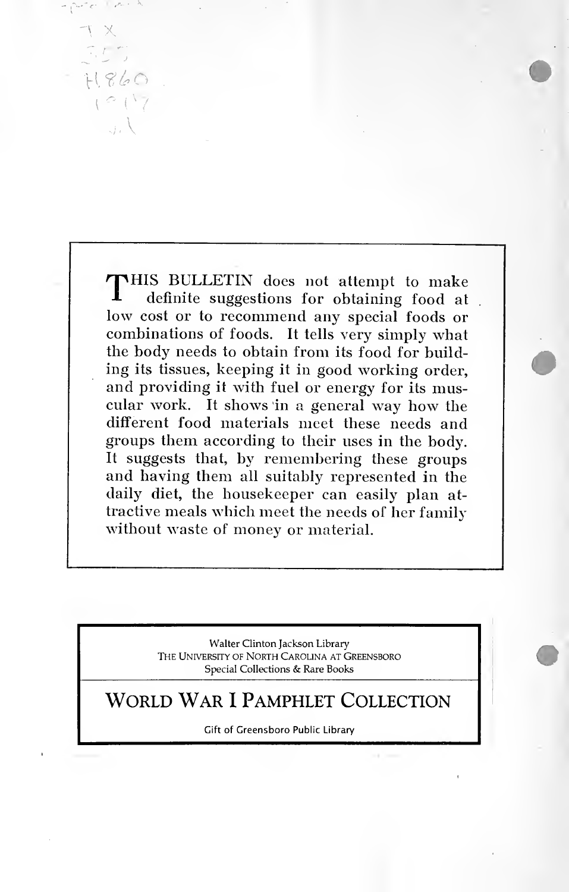$H860$  $1017$  $\Delta_{AB}$ 

THIS BULLETIN does not attempt to make definite suggestions for obtaining food at low cost or to recommend any special foods or combinations of foods. It tells very simply what the body needs to obtain from its food for building its tissues, keeping it in good working order, and providing it with fuel or energy for its muscular work. It shows in <sup>a</sup> general way how the different food materials meet these needs and groups them according to their uses in the body. It suggests that, by remembering these groups and having them all suitably represented in the daily diet, the housekeeper can easily plan at tractive meals which meet the needs of her family without waste of money or material.

> Walter Clinton Jackson Library The University of North Carolina at Greensboro Special Collections & Rare Books

## World War <sup>I</sup> Pamphlet Collection

Gift of Greensboro Public Library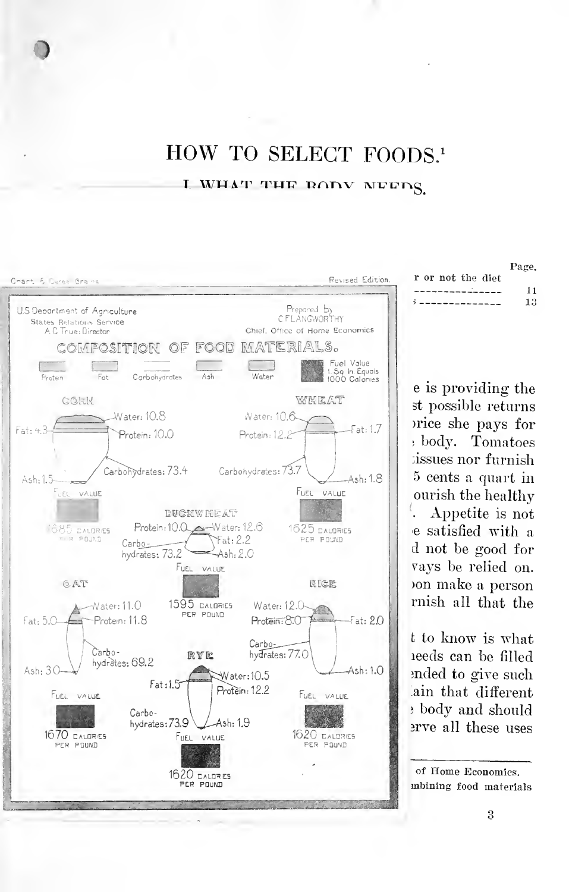## HOW TO SELECT FOODS. I WHAT THE RODY NEEDS.



Page. r or not the diet --------------- $11$ , \_\_\_\_\_\_\_\_\_\_\_\_\_\_ 13

e is providing the st possible returns price she pays for body. Tomatoes issues nor furnish 5 cents a quart in ourish the healthy Appetite is not e satisfied with a d not be good for vays be relied on. on make a person rnish all that the

t to know is what reeds can be filled ended to give such ain that different body and should erve all these uses

of Home Economics. mbining food materials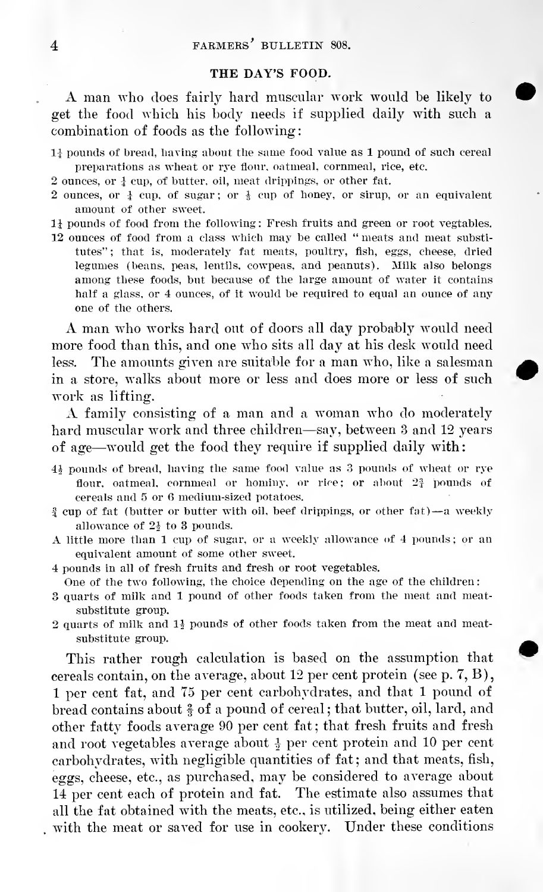#### THE DAY'S FOOD.

A man who does fairly hard muscular work would be likely to get the food which his body needs if supplied daily with such a combination of foods as the following:

 $1<sup>1</sup>$  pounds of bread, having about the same food value as 1 pound of such cereal preparations as wheat or rye flour, oatmeal, cornmeal, rice, etc.

 $2$  ounces, or  $\frac{1}{4}$  cup, of butter, oil, meat drippings, or other fat.

2 ounces, or  $\frac{1}{2}$  cup, of sugar; or  $\frac{1}{2}$  cup of honey, or sirup, or an equivalent amount of other sweet.

1<sup>}</sup> pounds of food from the following: Fresh fruits and green or root vegtables.

12 ounces of food from a class which may be called " meats and meat substi tutes": that is, moderately fat meats, poultry, fish, eggs, cheese, dried legumes (beans, peas, lentils, cowpeas, and peanuts). Milk also belongs among these foods, but because of the large amount of water it contains half a glass, or 4 ounces, of it would be required to equal an ounce of any one of the others.

A man who works hard out of doors all day probably would need more food than this, and one who sits all day at his desk would need less. The amounts given are suitable for <sup>a</sup> man who, like <sup>a</sup> salesman in a store, walks about more or less and does more or less of such work as lifting.

A family consisting of <sup>a</sup> man and <sup>a</sup> woman who do moderately hard muscular work and three children—say, between <sup>3</sup> and <sup>12</sup> years of age—would get the food they require if supplied daily with:

- 4i pounds of bread, having the same food value as <sup>3</sup> pounds of wheat or rye flour, oatmeal, cornmeal or hominy, or rice; or about 2<sup>3</sup> pounds of cereals and 5 or 6 medium-sized potatoes.
- $\frac{3}{4}$  cup of fat (butter or butter with oil, beef drippings, or other fat) —a weekly allowance of  $2\frac{1}{2}$  to 3 pounds.
- A little more than <sup>1</sup> cup of sugar, or <sup>a</sup> weekly allowance of <sup>4</sup> pounds; or an equivalent amount of some other sweet.
- 4 pounds in all of fresh fruits and fresh or root vegetables.

One of the two following, the choice depending on the age of the children

- 3 quarts of milk and 1 pound of other foods taken from the meat and meatsubstitute group.
- $2$  quarts of milk and  $1<sup>1</sup>$  pounds of other foods taken from the meat and meatsubstitute group.

This rather rough calculation is based on the assumption that cereals contain, on the average, about  $12$  per cent protein (see p. 7, B), <sup>1</sup> per cent fat, and 75 per cent carbohydrates, and that <sup>1</sup> pound of bread contains about  $\frac{2}{3}$  of a pound of cereal; that butter, oil, lard, and other fatty foods average 90 per cent fat ; that fresh fruits and fresh and root vegetables average about  $\frac{1}{2}$  per cent protein and 10 per cent carbohydrates, with negligible quantities of fat; and that meats, fish, eggs, cheese, etc., as purchased, may be considered to average about 14 per cent each of protein and fat. The estimate also assumes that all the fat obtained with the meats, etc., is utilized, being either eaten with the meat or saved for use in cookery. Under these conditions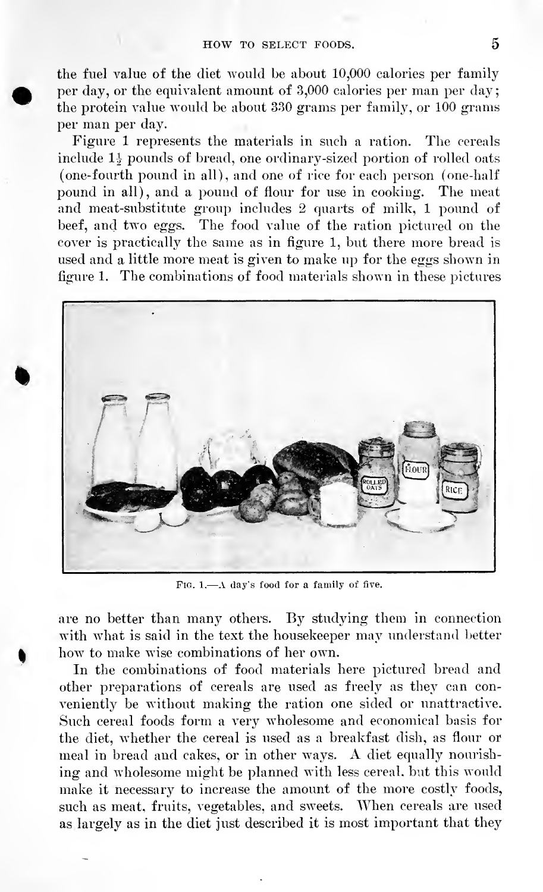the fuel value of the diet would be about 10,000 calories per family per day, or the equivalent amount of 3,000 calories per man per day; the protein value would be about 330 grams per family, or 100 grams per man per day.

Figure <sup>1</sup> represents the materials in such a ration. The cereals include 11 pounds of bread, one ordinary-sized portion of rolled oats (one-fourth pound in all), and one of rice for each person (one-half pound in all), and a pound of flour for use in cooking. The meat and meat-substitute group includes 2 quarts of milk, <sup>1</sup> pound of beef, and two eggs. The food value of the ration pictured on the cover is practically the same as in figure 1, but there more bread is used and a little more meat is given to make up for the eggs shown in figure 1. The combinations of food materials shown in these pictures



FIG. 1.-  $\Lambda$  day's food for a family of five.

are no better than many others. By studying them in connection with what is said in the text the housekeeper may understand better how to make wise combinations of her own.

In the combinations of food materials here pictured bread and other preparations of cereals are used as freely as they can con veniently be without making the ration one sided or unattractive. Such cereal foods form a very wholesome and economical basis for the diet, whether the cereal is used as a breakfast dish, as flour or meal in bread and cakes, or in other ways. A diet equally nourishing and wholesome might be planned with less cereal, but this would make it necessary to increase the amount of the more costly foods, such as meat, fruits, vegetables, and sweets. When cereals are used as largely as in the diet just described it is most important that they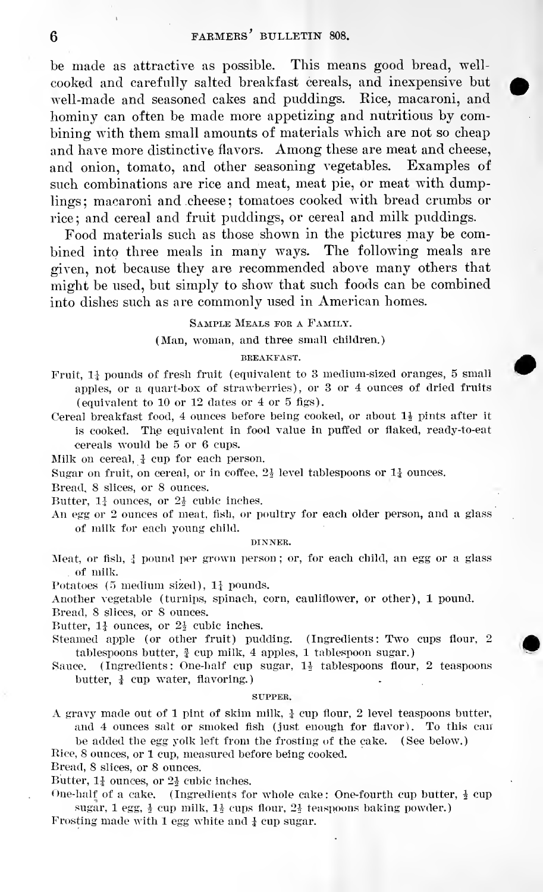be made as attractive as possible. This means good bread, well cooked and carefully salted breakfast cereals, and inexpensive but well-made and seasoned cakes and puddings. Rice, macaroni, and hominy can often be made more appetizing and nutritious by combining with them small amounts of materials which are not so cheap and have more distinctive flavors. Among these are meat and cheese, and onion, tomato, and other seasoning vegetables. Examples of such combinations are rice and meat, meat pie, or meat with dumplings; macaroni and cheese; tomatoes cooked with bread crumbs or rice; and cereal and fruit puddings, or cereal and milk puddings.

Food materials such as those shown in the pictures may be combined into three meals in many ways. The following meals are given, not because they are recommended above many others that might be used, but simply to show that such foods can be combined into dishes such as are commonly used in American homes.

#### Sample Meals for a Family.

(Man, woman, and three small children.)

#### BREAKFAST.

Fruit,  $1\frac{1}{4}$  pounds of fresh fruit (equivalent to 3 medium-sized oranges, 5 small apples, or a quart-box of strawberries), or 3 or 4 ounces of dried fruits (equivalent to 10 or 12 dates or 4 or 5 figs).

Cereal breakfast food, 4 ounces before being cooked, or about  $1\frac{1}{2}$  pints after it is cooked. The equivalent in food value in puffed or flaked, ready-to-eat cereals would be 5 or 6 cups.

Milk on cereal,  $\frac{1}{4}$  cup for each person.

Sugar on fruit, on cereal, or in coffee,  $2\frac{1}{2}$  level tablespoons or  $1\frac{1}{2}$  ounces.

Bread, 8 slices, or 8 ounces.

Butter,  $1\frac{1}{4}$  ounces, or  $2\frac{1}{2}$  cubic inches.

An egg or 2 ounces of meat, fish, or poultry for each older person, and a glass of milk for each young child.

#### DINNER.

Meat, or fish,  $\frac{1}{4}$  pound per grown person; or, for each child, an egg or a glass of milk.

Potatoes (5 medium sized),  $1\frac{1}{4}$  pounds.

Another vegetable (turnips, spinach, corn, cauliflower, or other), 1 pound.

Bread, 8 slices, or 8 ounces.

Butter,  $1\frac{1}{4}$  ounces, or  $2\frac{1}{2}$  cubic inches.

- Steamed apple (or other fruit) pudding. (Ingredients: Two cups flour, <sup>2</sup> tablespoons butter,  $\frac{3}{4}$  cup milk, 4 apples, 1 tablespoon sugar.)
- Sauce. (Ingredients: One-half cup sugar,  $1\frac{1}{2}$  tablespoons flour, 2 teaspoons butter,  $\frac{1}{4}$  cup water, flavoring.)

#### SUPPER.

- A gravy made out of 1 pint of skim milk,  $\frac{1}{4}$  cup flour, 2 level teaspoons butter, and 4 ounces salt or smoked fish (just enough for flavor). To this can
- be added the egg yolk left from the frosting of the cake. (See below.)
- Rice, 8 ounces, or 1 cup, measured before being cooked.

Bread, 8 slices, or 8 ounces.

Butter,  $1\frac{1}{4}$  ounces, or  $2\frac{1}{2}$  cubic inches.

One-half of a cake. (Ingredients for whole cake: One-fourth cup butter,  $\frac{1}{2}$  cup sugar, 1 egg,  $\frac{1}{2}$  cup milk,  $1\frac{1}{2}$  cups flour,  $2\frac{1}{2}$  teaspoons baking powder.)

Frosting made with 1 egg white and  $\frac{1}{4}$  cup sugar.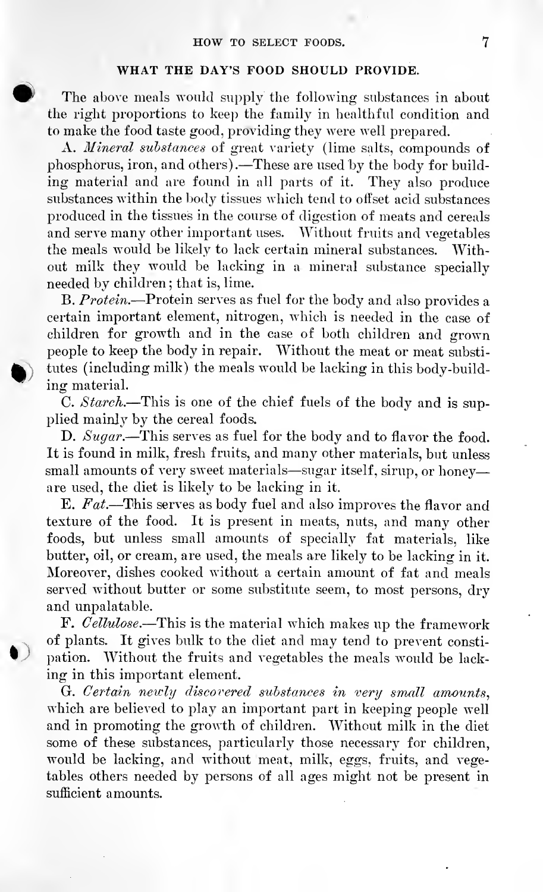#### WHAT THE DAY'S FOOD SHOULD PROVIDE.

The above meals would supply the following substances in about the right proportions to keep the family in healthful condition and to make the food taste good, providing they were well prepared.

A. Mineral substances of great variety (lime salts, compounds of phosphorus, iron, and others).—These are used by the body for build ing material and are found in all parts of it. They also produce substances within the body tissues which tend to offset acid substances produced in the tissues in the course of digestion of meats and cereals and serve many other important uses. Without fruits and vegetables the meals would be likely to lack certain mineral substances. Without milk they would be lacking in <sup>a</sup> mineral substance specially needed by children ; that is, lime.

B. Protein.—Protein serves as fuel for the body and also provides <sup>a</sup> certain important element, nitrogen, which is needed in the case of children for growth and in the case of both children and grown people to keep the body in repair. Without the meat or meat substi tutes (including milk) the meals would be lacking in this body-build ing material.

C. Starch.—This is one of the chief fuels of the body and is supplied mainjy by the cereal foods.

D. Sugar.—This serves as fuel for the body and to flavor the food. It is found in milk, fresh fruits, and many other materials, but unless small amounts of very sweet materials—sugar itself, sirup, or honey are used, the diet is likely to be lacking in it.

E. Fat.—This serves as body fuel and also improves the flavor and texture of the food. It is present in meats, nuts, and many other foods, but unless small amounts of specially fat materials, like butter, oil, or cream, are used, the meals are likely to be lacking in it. Moreover, dishes cooked without a certain amount of fat and meals served without butter or some substitute seem, to most persons, dry and unpalatable.

F. Cellulose.—This is the material which makes up the framework of plants. It gives bulk to the diet and may tend to prevent consti pation. Without the fruits and vegetables the meals would be lack ing in this important element.

G. Certain newly discovered substances in very small amounts. which are believed to play an important part in keeping people well and in promoting the growth of children. Without milk in the diet some of these substances, particularly those necessary for children, would be lacking, and without meat, milk, eggs, fruits, and vegetables others needed by persons of all ages might not be present in sufficient amounts.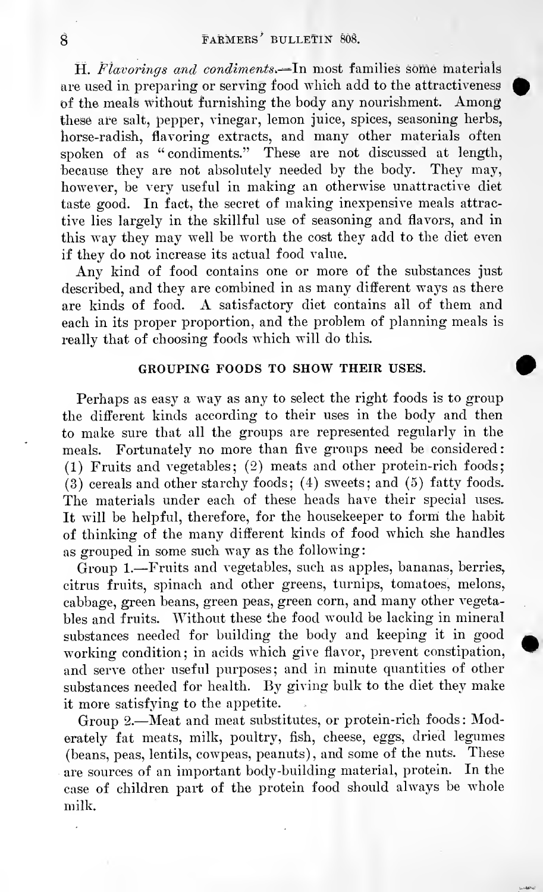H. Flavorings and condiments.—In most families some materials are used in preparing or serving food which add to the attractivenesg of the meals without furnishing the body any nourishment. Among these are salt, pepper, vinegar, lemon juice, spices, seasoning herbs, horse-radish, flavoring extracts, and many other materials often spoken of as "condiments." These are not discussed at length, because they are not absolutely needed by the body. They may, however, be very useful in making an otherwise unattractive diet taste good. In fact, the secret of making inexpensive meals attractive lies largely in the skillful use of seasoning and flavors, and in this way they may well be worth the cost they add to the diet even if they do not increase its actual food value.

Any kind of food contains one or more of the substances just described, and they are combined in as many different ways as there are kinds of food. A satisfactory diet contains all of them and each in its proper proportion, and the problem of planning meals is really that of choosing foods which will do this.

#### GROUPING FOODS TO SHOW THEIR USES.

Perhaps as easy a way as any to select the right foods is to group the different kinds according to their uses in the body and then to make sure that all the groups are represented regularly in the meals. Fortunately no more than five groups need be considered: (1) Fruits and vegetables; (2) meats and other protein-rich foods; (3) cereals and other starchy foods; (4) sweets; and (5) fatty foods. The materials under each of these heads have their special uses. It will be helpful, therefore, for the housekeeper to form the habit of thinking of the many different kinds of food which she handles as grouped in some such way as the following:

Group 1.—Fruits and vegetables, such as apples, bananas, berries, citrus fruits, spinach and other greens, turnips, tomatoes, melons, cabbage, green beans, green peas, green corn, and many other vegetables and fruits. Without these the food would be lacking in mineral substances needed for building the body and keeping it in good working condition; in acids which give flavor, prevent constipation, and serve other useful purposes; and in minute quantities of other substances needed for health. By giving bulk to the diet they make it more satisfying to the appetite.

Group 2.—Meat and meat substitutes, or protein-rich foods : Moderately fat meats, milk, poultry, fish, cheese, eggs, dried legumes (beans, peas, lentils, cowpeas, peanuts), and some of the nuts. These are sources of an important body-building material, protein. In the case of children part of the protein food should always be whole milk.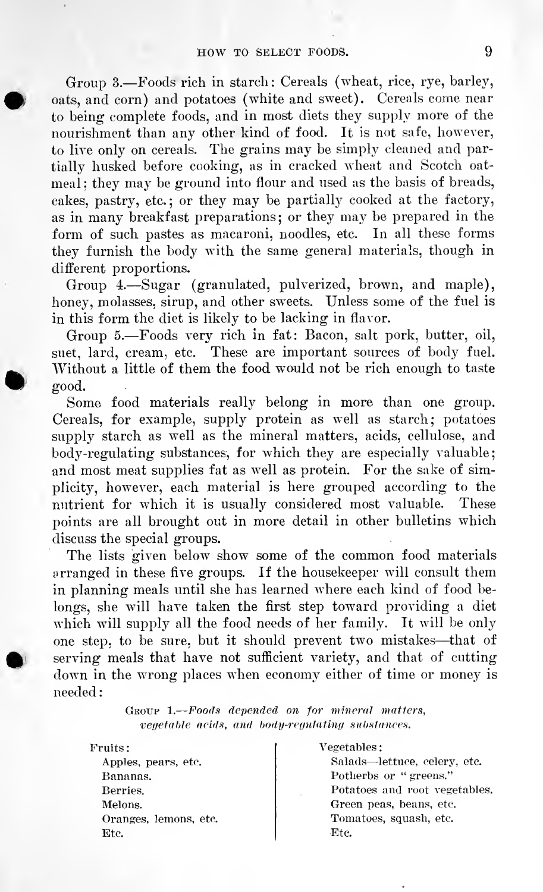Group 3.—Foods rich in starch: Cereals (wheat, rice, rye, barley, oats, and corn) and potatoes (white and sweet). Cereals come near to being complete foods, and in most diets they supply more of the nourishment than any other kind of food. It is not safe, however, to live only on cereals. The grains may be simply cleaned and partially husked before cooking, as in cracked wheat and Scotch oatmeal; they may be ground into flour and used as the basis of breads, cakes, pastry, etc.; or they may be partially cooked at the factory, as in many breakfast preparations; or they may be prepared in the form of such pastes as macaroni, noodles, etc. In all these forms they furnish the body with the same general materials, though in different proportions.

Group 4.—Sugar (granulated, pulverized, brown, and maple), honey, molasses, sirup, and other sweets. Unless some of the fuel is in this form the diet is likely to be lacking in flavor.

Group 5.—Foods very rich in fat: Bacon, salt pork, butter, oil, suet, lard, cream, etc. These are important sources of body fuel. Without a little of them the food would not be rich enough to taste good.

Some food materials really belong in more than one group. Cereals, for example, supply protein as well as starch; potatoes supply starch as well as the mineral matters, acids, cellulose, and body-regulating substances, for which they are especially valuable; and most meat supplies fat as well as protein. For the sake of simplicity, however, each material is here grouped according to the nutrient for which it is usually considered most valuable. These points are all brought out in more detail in other bulletins which discuss the special groups.

The lists given below show some of the common food materials arranged in these five groups. If the housekeeper will consult them in planning meals until she has learned where each kind of food be longs, she will have taken the first step toward providing a diet which will supply all the food needs of her family. It will be only one step, to be sure, but it should prevent two mistakes—^that of serving meals that have not sufficient variety, and that of cutting down in the wrong places when economy either of time or money is needed

> Group 1. Foods depended on for mineral matters, vegetable acids, and body-regulating substances.

| Fruits:               | Vegetables:                   |
|-----------------------|-------------------------------|
| Apples, pears, etc.   | Salads—lettuce, celery, etc.  |
| Bananas.              | Potherbs or "greens."         |
| Berries.              | Potatoes and root vegetables. |
| Melons.               | Green peas, beans, etc.       |
| Oranges, lemons, etc. | Tomatoes, squash, etc.        |
| Etc.                  | Etc.                          |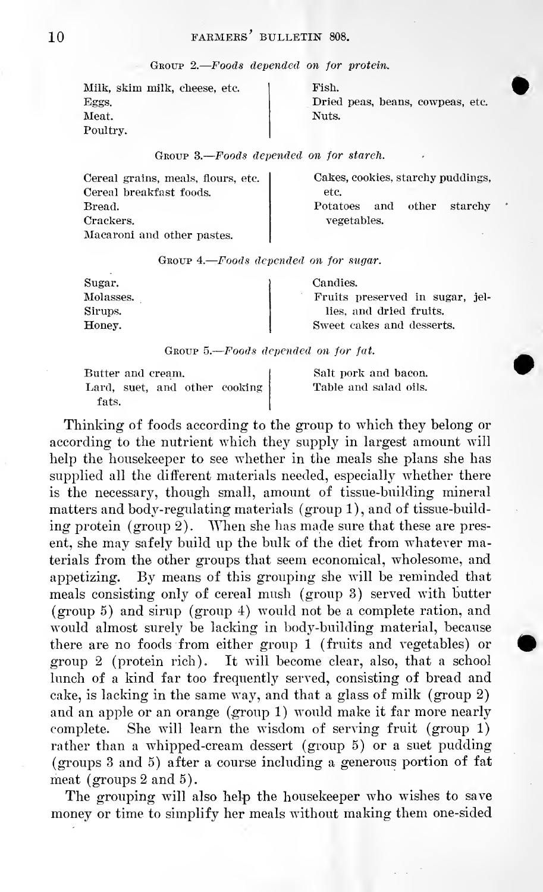Group 2. Foods depended on for protein.

Fish.

Milk, skim milk, cheese, etc. Eggs. Meat. Poultry.

#### Dried peas, beans, cowpeas, etc. Nuts.

Group 3. Foods depended on for starch.

Cereal grains, meals, flours, etc. Cereal breakfast foods. Bread. Crackers. Macaroni and other pastes.

Cakes, cookies, starchy puddings, etc. Potatoes and other starchy vegetables.

Group 4. Foods depended on for sugar.

| Sugar.    | Candies.                        |
|-----------|---------------------------------|
| Molasses. | Fruits preserved in sugar, jel- |
| Sirups.   | lies, and dried fruits.         |
| Honey.    | Sweet cakes and desserts.       |
|           |                                 |

Group 5. Foods depended on for fat.

Butter and cream. Lard, suet, and other cooking fats.

Salt pork and bacon. Table and salad oils.

Thinking of foods according to the group to which they belong or according to the nutrient which they supply in largest amount will help the housekeeper to see whether in the meals she plans she has supplied all the different materials needed, especially whether there is the necessary, though small, amount of tissue-building mineral matters and body-regulating materials (group 1), and of tissue-build ing protein (group 2). When she has made sure that these are present, she may safely build up the bulk of the diet from whatever materials from the other groups that seem economical, wholesome, and appetizing. By means of this grouping she will be reminded that meals consisting only of cereal mush (group 3) served with butter (group 6) and sirup (group 4) would not be a complete ration, and would almost surely be lacking in body-building material, because there are no foods from either group <sup>1</sup> (fruits and vegetables) or group 2 (protein rich). It will become clear, also, that a school lunch of a kind far too frequently served, consisting of bread and cake, is lacking in the same way, and that a glass of milk (group 2) and an apple or an orange (group 1) would make it far more nearly complete. She will learn the wisdom of serving fruit (group 1) rather than a whipped-cream dessert (group 5) or a suet pudding (groups 3 and 5) after a course including a generous portion of fat meat (groups 2 and 5).

The grouping will also help the housekeeper who wishes to save money or time to simplify her meals without making them one-sided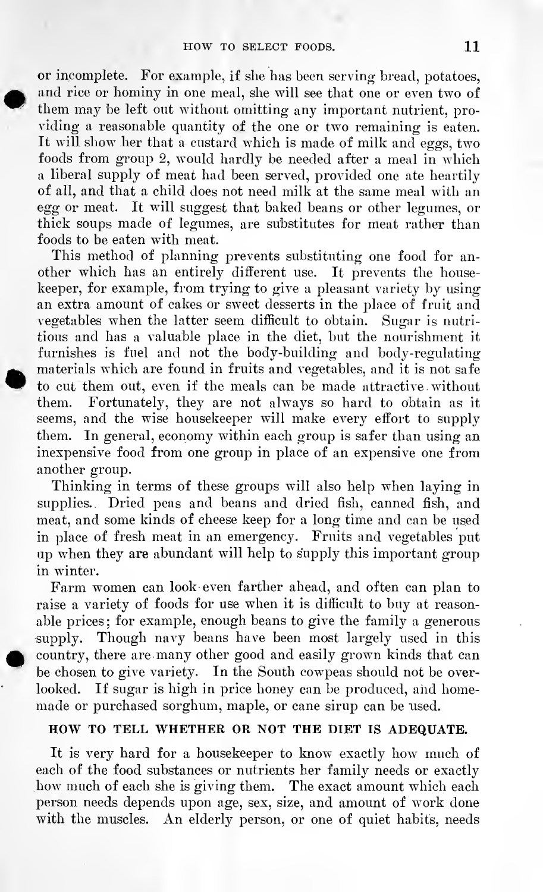or incomplete. For example, if she has been serving bread, potatoes, and rice or hominy in one meal, she will see that one or even two of them may be left out without omitting any important nutrient, providing a reasonable quantity of the one or two remaining is eaten. It will show her that a custard which is made of milk and eggs, two foods from group 2, would hardly be needed after a meal in which a liberal supply of meat had been served, provided one ate heartily of all, and that a child does not need milk at the same meal with an egg or meat. It will suggest that baked beans or other legumes, or thick soups made of legumes, are substitutes for meat rather than foods to be eaten with meat.

This method of planning prevents substituting one food for an other which has an entirely different use. It prevents the housekeeper, for example, from trying to give a pleasant variety by using an extra amount of cakes or sweet desserts in the place of fruit and vegetables when the latter seem difficult to obtain. Sugar is nutritious and has <sup>a</sup> valuable place in the diet, but the nourishment it furnishes is fuel and not the body-building and body-regulating materials which are found in fruits and vegetables, and it is not safe to cut them out, even if the meals can be made attractive . without them. Fortunately, they are not always so hard to obtain as it seems, and the wise housekeeper will make every effort to supply them. In general, economy within each group is safer than using an inexpensive food from one group in place of an expensive one from another group.

Thinking in terms of these groups will also help when laying in supplies. Dried peas and beans and dried fish, canned fish, and meat, and some kinds of cheese keep for a long time and can be used in place of fresh meat in an emergency. Fruits and vegetables put up when they are abundant will help to supply this important group in winter.

Farm women can look even farther ahead, and often can plan to raise a variety of foods for use when it is difficult to buy at reasonable prices; for example, enough beans to give the family a generous supply. Though navy beans have been most largely used in this country, there are many other good and easily grown kinds that can be chosen to give variety. In the South cowpeas should not be overlooked. If sugar is high in price honey can be produced, and homemade or purchased sorghum, maple, or cane sirup can be used.

#### HOW TO TELL WHETHER OR NOT THE DIET IS ADEQUATE.

It is very hard for a housekeeper to know exactly how much of each of the food substances or nutrients her family needs or exactly how much of each she is giving them. The exact amount which each person needs depends upon age, sex, size, and amount of work done with the muscles. An elderly person, or one of quiet habits, needs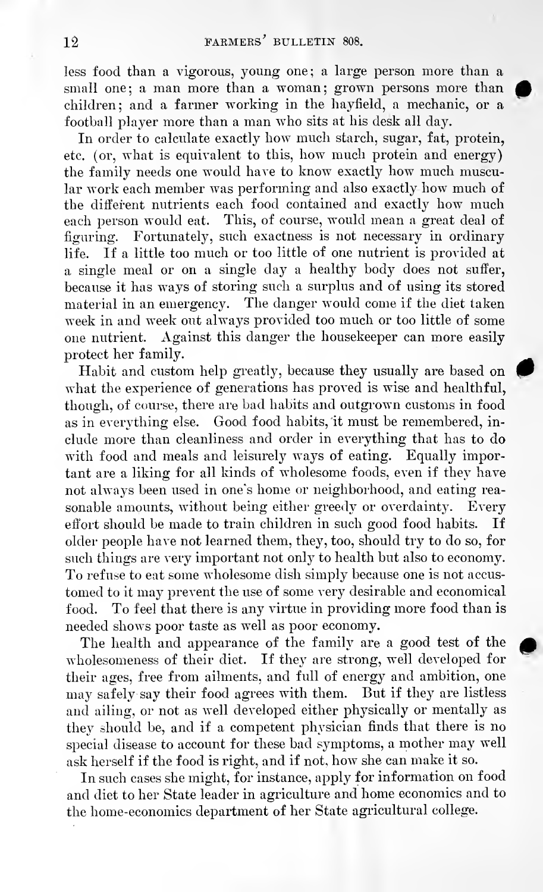less food than a vigorous, young one; <sup>a</sup> large person more than a small one; a man more than a woman; grown persons more than children; and a farmer working in the hayfield, <sup>a</sup> mechanic, or a football player more than <sup>a</sup> man who sits at his desk all day.

In order to calculate exactly how much starch, sugar, fat, protein, etc. (or, what is equivalent to this, how much protein and energy) the family needs one would have to know exactly how much muscular work each member was performing and also exactly how much of the different nutrients each food contained and exactly how much each person would eat. This, of course, would mean <sup>a</sup> great deal of figuring. Fortunately, such exactness is not necessary in ordinary life. If a little too much or too little of one nutrient is provided at a single meal or on a single day a healthy body does not suffer, because it has ways of storing such a surplus and of using its stored material in an emergency. The danger would come if the diet taken week in and week out always provided too much or too little of some one nutrient. Against this danger the housekeeper can more easily protect her family.

Habit and custom help greatly, because they usually are based on what the experience of generations has proved is wise and healthful, though, of course, there are bad habits and outgrown customs in food as in everything else. Good food habits, it must be remembered, in clude more than cleanliness and order in everything that has to do with food and meals and leisurely ways of eating. Equally important are a liking for all kinds of wholesome foods, even if they have not always been used in one's home or neighborhood, and eating rea sonable amounts, without being either greedy or overdainty. Every effort should be made to train children in such good food habits. If older people have not learned them, they, too, should try to do so, for such things are very important not only to health but also to economy. To refuse to eat some wholesome dish simply because one is not accus tomed to it may prevent the use of some very desirable and economical food. To feel that there is any virtue in providing more food than isneeded shows poor taste as well as poor economy.

The health and appearance of the family are a good test of the wholesomeness of their diet. If they are strong, well developed for their ages, free from ailments, and full of energy and ambition, one may safely say their food agrees with them. But if they are listless and ailing, or not as well developed either physically or mentally as they should be, and if a competent physician finds that there is no special disease to account for these bad symptoms, <sup>a</sup> mother may well ask herself if the food is right, and if not, how she can make it so.

In such cases she might, for instance, apply for information on food and diet to her State leader in agriculture and home economics and to the home-economics department of her State agricultural college.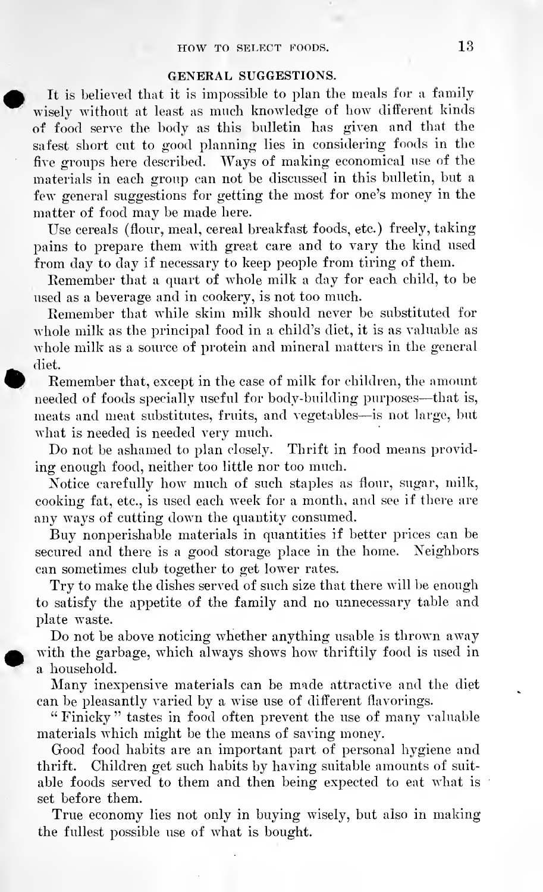#### HOW TO SELECT FOODS. 13

#### GENERAL SUGGESTIONS.

It is believed that it is impossible to plan the meals for a family wisely without at least as much knowledge of how different kinds of food serve the body as this bulletin has given and that the safest short cut to good planning lies in considering foods in the five groups here described. Ways of making economical use of the materials in each group can not be discussed in this bulletin, but a few general suggestions for getting the most for one's money in the matter of food may be made here.

Use cereals (flour, meal, cereal breakfast foods, etc.) freely, taking pains to prepare them with great care and to vary the kind used from day to day if necessary to keep people from tiring of them.

Remember that a quart of whole milk a day for each child, to be used as a beverage and in cookery, is not too much.

Remember that while skim milk should never be substituted for whole milk as the principal food in a child's diet, it is as valuable as whole milk as a source of protein and mineral matters in the general diet.

Remember that, except in the case of milk for children, the amount needed of foods specially useful for body-building purposes—that is, meats and meat substitutes, fruits, and vegetables—is not large, but what is needed is needed very much.

Do not be ashamed to plan closely. Thrift in food means providing enough food, neither too little nor too much.

Notice carefully how much of such staples as flour, sugar, milk, cooking fat, etc., is used each week for a month, and see if there are any ways of cutting down the quantity consumed.

Buy nonperishable materials in quantities if better prices can be secured and there is a good storage place in the home. Neighbors can sometimes club together to get lower rates.

Try to make the dishes served of such size that there will be enough to satisfy the appetite of the family and no unnecessary table and plate waste.

Do not be above noticing whether anything usable is thrown away with the garbage, which always shows how thriftily food is used in a household.

Many inexpensive materials can be made attractive and the diet can be pleasantly varied by a wise use of different flavorings.

" Finicky " tastes in food often prevent the use of many valuable materials which might be the means of saving money.

Good food habits are an important part of personal hygiene and thrift. Children get such habits by having suitable amounts of suit able foods served to them and then being expected to eat what is set before them.

True economy lies not only in buying wisely, but also in making the fullest possible use of what is bought.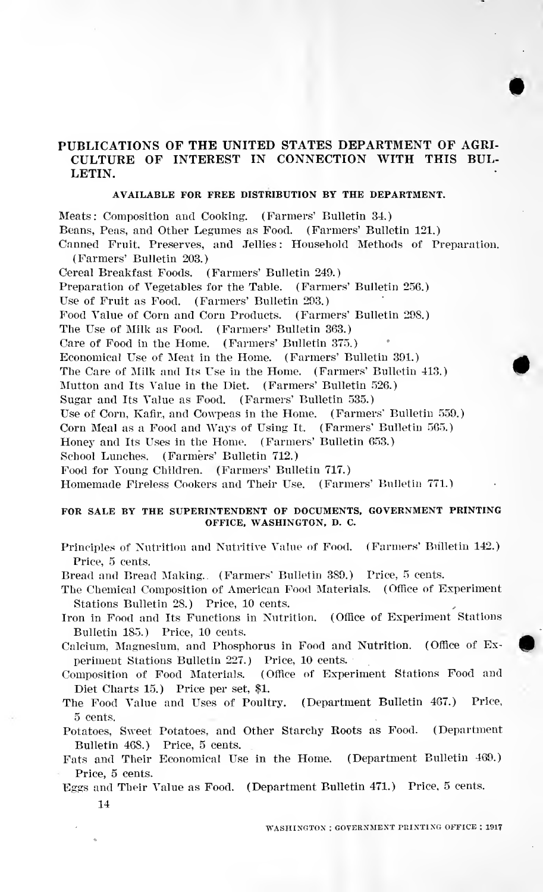### PUBLICATIONS OF THE UNITED STATES DEPARTMENT OF AGRI- CULTURE OF INTEREST IN CONNECTION WITH THIS BUL-LETIN.

#### AVAILABLE FOR FREE DISTRIBUTION BY THE DEPARTMENT.

Meats: Composition and Cooking. (Farmers' Bulletin 34.) Beans, Peas, and Other Legumes as Food. (Farmers' Bulletin 121.) Canned Fruit. Preserves, and Jellies : Household Methods of Preparation. (Farmers' Bulletin 203.) Cereal Breakfast Foods. (Farmers' Bulletin 249.) Preparation of Vegetables for the Table. (Farmers' Bulletin 256.) Use of Fruit as Food. (Farmers' Bulletin 203.) Food Value of Corn and Corn Products. (Farmers' Bulletin 298.) The Use of Milk as Food. (Farmers' Bulletin 363.) Care of Food in the Home. (Farmers' Bulletin 375.) Economical Use of Meat in the Home. (Farmers' Bulletin 391.) The Care of Milk and Its Use in the Home. (Farmers' Bulletin 413.) Mutton and Its Value in the Diet. (Farmers' Bulletin 526.) Sugar and Its Value as Food. (Farmers' Bulletin 535.) Use of Corn, Kafir, and Cowpeas in the Home. (Farmers' Bulletin 559.) Corn Meal as a Food and Ways of Using It. (Farmers' Bulletin 565.) Honey and Its Uses in the Home. (Farmers' Bulletin 653.) School Lunches. (Farmers' Bulletin 712.) Food for Young Children. (Farmers' Bulletin 717.) Homemade Fireless Cookers and Their Use. (Farmers' Bulletin 771.)

#### FOR SALE BY THE SUPERINTENDENT OF DOCUMENTS. GOVERNMENT PRINTING OFFICE. WASHINGTON, D. C.

- Principles of Nutrition and Nutritive Value of Food. (Farmers' Bulletin 142.) Price, 5 cents.
- Bread and Bread Making. (Farmers' Bulletin 389.) Price. 5 cents.
- The Chemical Composition of American Food Materials. (Office of Experiment Stations Bulletin 28.) Price, 10 cents.
- Iron in Food and Its Functions in Nutrition. (Office of Experiment Stations Bulletin 185.) Price, 10 cents.
- Calcium, Magnesium, and Phosphorus in Food and Nutrition. (Office of Experiment Stations Bulletin 227.) Price, 10 cents.
- Composition of Food Materials. (Office of Experiment Stations Food and Diet Charts 15.) Price per set, \$1.
- The Food Value and Uses of Poultry. (Department Bulletin 467.) Price, 5 cents.
- Potatoes, Sweet Potatoes, and Other Starchy Roots as Food. (Department Bulletin 468.) Price, 5 cents.
- Fats and Their Economical Use in the Home. (Department Bulletin 4G9.) Price, 5 cents.

Eggs and Their Value as Food. (Department Bulletin 471.) Price, 5 cents. 14

WASHINGTON : GOVERNMENT PRINTING OFFICE : 1917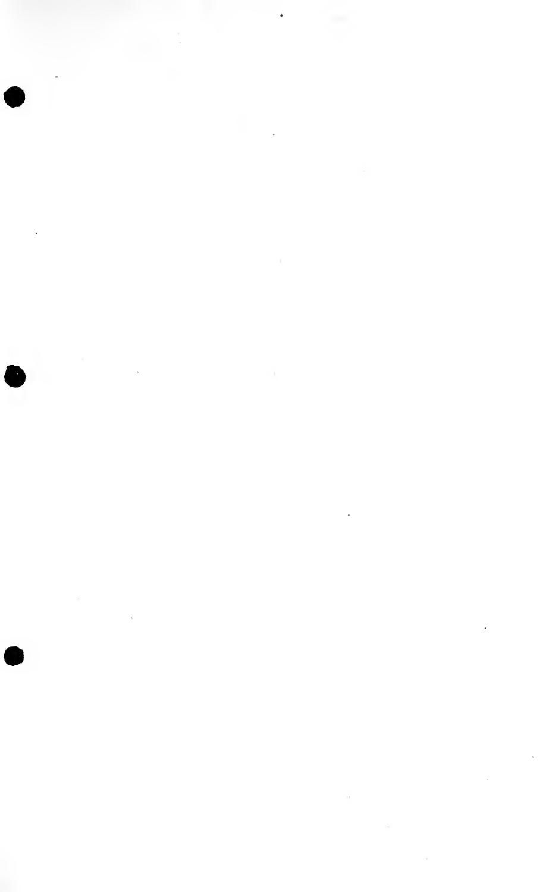